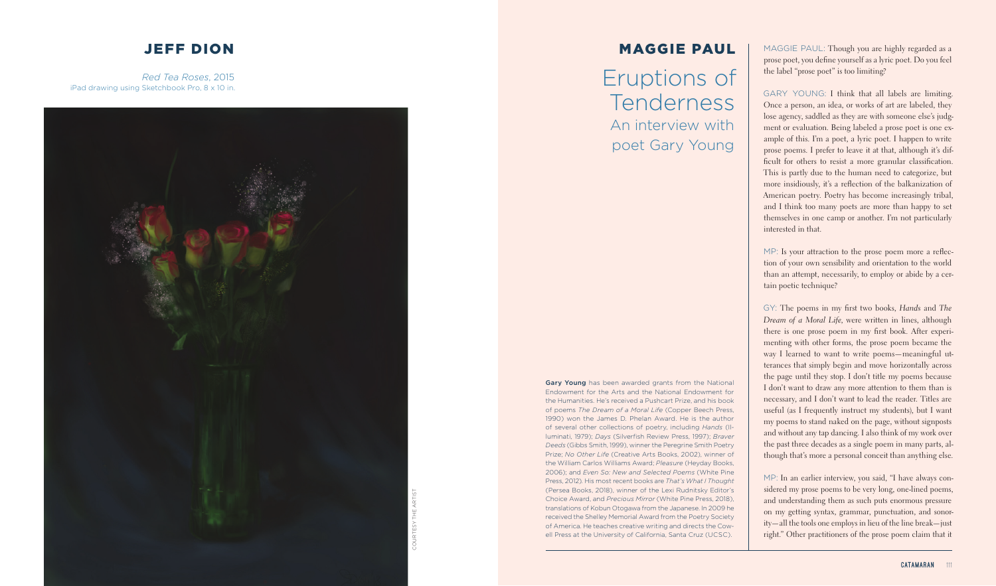

# JEFF DION

*Red Tea Roses*, 2015 iPad drawing using Sketchbook Pro, 8 x 10 in. MAGGIE PAUL

Eruptions of Tenderness An interview with poet Gary Young

MAGGIE PAUL: Though you are highly regarded as a prose poet, you define yourself as a lyric poet. Do you feel the label "prose poet" is too limiting?

MP: Is your attraction to the prose poem more a reflection of your own sensibility and orientation to the world than an attempt, necessarily, to employ or abide by a certain poetic technique?

GARY YOUNG: I think that all labels are limiting. Once a person, an idea, or works of art are labeled, they lose agency, saddled as they are with someone else's judg ment or evaluation. Being labeled a prose poet is one ex ample of this. I'm a poet, a lyric poet. I happen to write prose poems. I prefer to leave it at that, although it's difficult for others to resist a more granular classification. This is partly due to the human need to categorize, but more insidiously, it's a reflection of the balkanization of American poetry. Poetry has become increasingly tribal, and I think too many poets are more than happy to set themselves in one camp or another. I'm not particularly interested in that.

GY: The poems in my first two books, *Hands* and *The Dream of a Moral Life*, were written in lines, although there is one prose poem in my first book. After experi menting with other forms, the prose poem became the way I learned to want to write poems—meaningful ut terances that simply begin and move horizontally across the page until they stop. I don't title my poems because I don't want to draw any more attention to them than is necessary, and I don't want to lead the reader. Titles are useful (as I frequently instruct my students), but I want my poems to stand naked on the page, without signposts and without any tap dancing. I also think of my work over the past three decades as a single poem in many parts, al though that's more a personal conceit than anything else.

Gary Young has been awarded grants from the National Endowment for the Arts and the National Endowment for the Humanities. He's received a Pushcart Prize, and his book of poems *The Dream of a Moral Life* (Copper Beech Press, 1990) won the James D. Phelan Award. He is the author of several other collections of poetry, including *Hands* (Il luminati, 1979); *Days* (Silverfish Review Press, 1997); *Braver Deeds* (Gibbs Smith, 1999), winner the Peregrine Smith Poetry Prize; *No Other Life* (Creative Arts Books, 2002), winner of the William Carlos Williams Award; *Pleasure* (Heyday Books, 2006); and *Even So: New and Selected Poems* (White Pine Press, 2012). His most recent books are That's What I Thought (Persea Books, 2018), winner of the Lexi Rudnitsky Editor's Choice Award, and *Precious Mirror* (White Pine Press, 2018), translations of Kobun Otogawa from the Japanese. In 2009 he received the Shelley Memorial Award from the Poetry Society of America. He teaches creative writing and directs the Cow ell Press at the University of California, Santa Cruz (UCSC).

MP: In an earlier interview, you said, "I have always con sidered my prose poems to be very long, one-lined poems, and understanding them as such puts enormous pressure on my getting syntax, grammar, punctuation, and sonority—all the tools one employs in lieu of the line break—just right." Other practitioners of the prose poem claim that it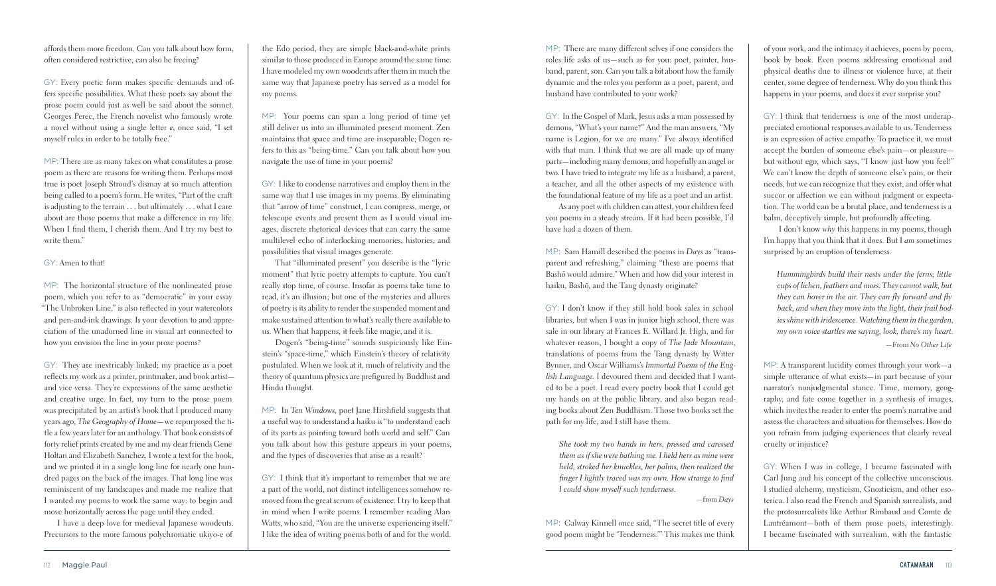MP: There are many different selves if one considers the roles life asks of us—such as for you: poet, painter, husband, parent, son. Can you talk a bit about how the family dynamic and the roles you perform as a poet, parent, and husband have contributed to your work?

MP: Sam Hamill described the poems in *Days* as "transparent and refreshing," claiming "these are poems that .<br>Bashō would admire." When and how did your interest in haiku, Bashō, and the Tang dynasty originate?

GY: In the Gospel of Mark, Jesus asks a man possessed by demons, "What's your name?" And the man answers, "My name is Legion, for we are many." I've always identified with that man. I think that we are all made up of many parts—including many demons, and hopefully an angel or two. I have tried to integrate my life as a husband, a parent, a teacher, and all the other aspects of my existence with the foundational feature of my life as a poet and an artist.

As any poet with children can attest, your children feed you poems in a steady stream. If it had been possible, I'd have had a dozen of them.

GY: I don't know if they still hold book sales in school libraries, but when I was in junior high school, there was sale in our library at Frances E. Willard Jr. High, and for whatever reason, I bought a copy of *The Jade Mountain*, translations of poems from the Tang dynasty by Witter Bynner, and Oscar Williams's *Immortal Poems of the English Language*. I devoured them and decided that I wanted to be a poet. I read every poetry book that I could get my hands on at the public library, and also began reading books about Zen Buddhism. Those two books set the path for my life, and I still have them.

*She took my two hands in hers, pressed and caressed them as if she were bathing me. I held hers as mine were held, stroked her knuckles, her palms, then realized the finger I lightly traced was my own. How strange to find I could show myself such tenderness.*

*—*from *Days*

MP: Galway Kinnell once said, "The secret title of every good poem might be 'Tenderness.'" This makes me think

of your work, and the intimacy it achieves, poem by poem, book by book. Even poems addressing emotional and physical deaths due to illness or violence have, at their center, some degree of tenderness. Why do you think this happens in your poems, and does it ever surprise you?

GY: I think that tenderness is one of the most underappreciated emotional responses available to us. Tenderness is an expression of active empathy. To practice it, we must accept the burden of someone else's pain—or pleasure but without ego, which says, "I know just how you feel!" We can't know the depth of someone else's pain, or their needs, but we can recognize that they exist, and offer what succor or affection we can without judgment or expectation. The world can be a brutal place, and tenderness is a balm, deceptively simple, but profoundly affecting.

 I don't know *why* this happens in my poems, though I'm happy that you think that it does. But I *am* sometimes surprised by an eruption of tenderness.

*Hummingbirds build their nests under the ferns; little cups of lichen, feathers and moss. They cannot walk, but they can hover in the air. They can fly forward and fly back, and when they move into the light, their frail bodies shine with iridescence. Watching them in the garden, my own voice startles me saying, look, there's my heart*. *—*From *No Other Life*

MP: A transparent lucidity comes through your work—a simple utterance of what exists—in part because of your narrator's nonjudgmental stance. Time, memory, geography, and fate come together in a synthesis of images, which invites the reader to enter the poem's narrative and assess the characters and situation for themselves. How do you refrain from judging experiences that clearly reveal cruelty or injustice?

GY: When I was in college, I became fascinated with Carl Jung and his concept of the collective unconscious. I studied alchemy, mysticism, Gnosticism, and other esoterica. I also read the French and Spanish surrealists, and the protosurrealists like Arthur Rimbaud and Comte de Lautréamont—both of them prose poets, interestingly. I became fascinated with surrealism, with the fantastic

affords them more freedom. Can you talk about how form, often considered restrictive, can also be freeing?

GY: Every poetic form makes specific demands and offers specific possibilities. What these poets say about the prose poem could just as well be said about the sonnet. Georges Perec, the French novelist who famously wrote a novel without using a single letter *e*, once said, "I set myself rules in order to be totally free."

MP: There are as many takes on what constitutes a prose poem as there are reasons for writing them. Perhaps most true is poet Joseph Stroud's dismay at so much attention being called to a poem's form. He writes, "Part of the craft is adjusting to the terrain . . . but ultimately . . . what I care about are those poems that make a difference in my life. When I find them, I cherish them. And I try my best to write them."

### GY: Amen to that!

MP: The horizontal structure of the nonlineated prose poem, which you refer to as "democratic" in your essay "The Unbroken Line," is also reflected in your watercolors and pen-and-ink drawings. Is your devotion to and appreciation of the unadorned line in visual art connected to how you envision the line in your prose poems?

GY: They are inextricably linked; my practice as a poet reflects my work as a printer, printmaker, and book artist and vice versa. They're expressions of the same aesthetic and creative urge. In fact, my turn to the prose poem was precipitated by an artist's book that I produced many years ago, *The Geography of Home*—we repurposed the title a few years later for an anthology. That book consists of forty relief prints created by me and my dear friends Gene Holtan and Elizabeth Sanchez. I wrote a text for the book, and we printed it in a single long line for nearly one hundred pages on the back of the images. That long line was reminiscent of my landscapes and made me realize that I wanted my poems to work the same way: to begin and move horizontally across the page until they ended.

I have a deep love for medieval Japanese woodcuts. Precursors to the more famous polychromatic ukiyo-e of

the Edo period, they are simple black-and-white prints similar to those produced in Europe around the same time. I have modeled my own woodcuts after them in much the same way that Japanese poetry has served as a model for my poems.

MP: Your poems can span a long period of time yet still deliver us into an illuminated present moment. Zen maintains that space and time are inseparable; Dogen refers to this as "being-time." Can you talk about how you navigate the use of time in your poems?

GY: I like to condense narratives and employ them in the same way that I use images in my poems. By eliminating that "arrow of time" construct, I can compress, merge, or telescope events and present them as I would visual images, discrete rhetorical devices that can carry the same multilevel echo of interlocking memories, histories, and possibilities that visual images generate.

That "illuminated present" you describe is the "lyric moment" that lyric poetry attempts to capture. You can't really stop time, of course. Insofar as poems take time to read, it's an illusion; but one of the mysteries and allures of poetry is its ability to render the suspended moment and make sustained attention to what's really there available to us. When that happens, it feels like magic, and it is.

Dogen's "being-time" sounds suspiciously like Einstein's "space-time," which Einstein's theory of relativity postulated. When we look at it, much of relativity and the theory of quantum physics are prefigured by Buddhist and Hindu thought.

MP: In *Ten Windows*, poet Jane Hirshfield suggests that a useful way to understand a haiku is "to understand each of its parts as pointing toward both world and self." Can you talk about how this gesture appears in your poems, and the types of discoveries that arise as a result?

GY: I think that it's important to remember that we are a part of the world, not distinct intelligences somehow removed from the great scrum of existence. I try to keep that in mind when I write poems. I remember reading Alan Watts, who said, "You are the universe experiencing itself." I like the idea of writing poems both of and for the world.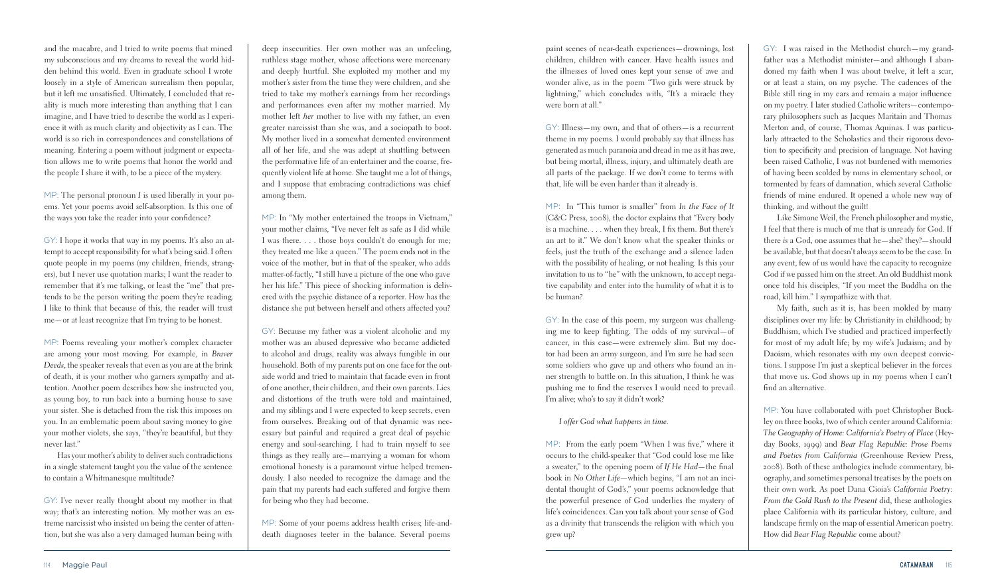paint scenes of near-death experiences—drownings, lost children, children with cancer. Have health issues and the illnesses of loved ones kept your sense of awe and wonder alive, as in the poem "Two girls were struck by lightning," which concludes with, "It's a miracle they were born at all."

GY: Illness—my own, and that of others—is a recurrent theme in my poems. I would probably say that illness has generated as much paranoia and dread in me as it has awe, but being mortal, illness, injury, and ultimately death are all parts of the package. If we don't come to terms with that, life will be even harder than it already is.

MP: In "This tumor is smaller" from *In the Face of It* (C&C Press, 2008), the doctor explains that "Every body is a machine. . . . when they break, I fix them. But there's an art to it." We don't know what the speaker thinks or feels, just the truth of the exchange and a silence laden with the possibility of healing, or not healing. Is this your invitation to us to "be" with the unknown, to accept negative capability and enter into the humility of what it is to be human?

GY: In the case of this poem, my surgeon was challenging me to keep fighting. The odds of my survival—of cancer, in this case—were extremely slim. But my doctor had been an army surgeon, and I'm sure he had seen some soldiers who gave up and others who found an inner strength to battle on. In this situation, I think he was pushing me to find the reserves I would need to prevail. I'm alive; who's to say it didn't work?

*I offer God what happens in time.*

MP: From the early poem "When I was five," where it occurs to the child-speaker that "God could lose me like a sweater," to the opening poem of *If He Had*—the final book in *No Other Life*—which begins, "I am not an incidental thought of God's," your poems acknowledge that the powerful presence of God underlies the mystery of life's coincidences. Can you talk about your sense of God as a divinity that transcends the religion with which you grew up?

GY: I was raised in the Methodist church—my grandfather was a Methodist minister—and although I abandoned my faith when I was about twelve, it left a scar, or at least a stain, on my psyche. The cadences of the Bible still ring in my ears and remain a major influence on my poetry. I later studied Catholic writers—contemporary philosophers such as Jacques Maritain and Thomas Merton and, of course, Thomas Aquinas. I was particularly attracted to the Scholastics and their rigorous devotion to specificity and precision of language. Not having been raised Catholic, I was not burdened with memories of having been scolded by nuns in elementary school, or tormented by fears of damnation, which several Catholic friends of mine endured. It opened a whole new way of thinking, and without the guilt!

Like Simone Weil, the French philosopher and mystic, I feel that there is much of me that is unready for God. If there *is* a God, one assumes that he—she? they?—should be available, but that doesn't always seem to be the case. In any event, few of us would have the capacity to recognize God if we passed him on the street. An old Buddhist monk once told his disciples, "If you meet the Buddha on the road, kill him." I sympathize with that.

My faith, such as it is, has been molded by many disciplines over my life: by Christianity in childhood; by Buddhism, which I've studied and practiced imperfectly for most of my adult life; by my wife's Judaism; and by Daoism, which resonates with my own deepest convictions. I suppose I'm just a skeptical believer in the forces that move us. God shows up in my poems when I can't find an alternative.

MP: You have collaborated with poet Christopher Buckley on three books, two of which center around California: *The Geography of Home: California's Poetry of Place* (Heyday Books, 1999) and *Bear Flag Republic: Prose Poems and Poetics from California* (Greenhouse Review Press, 2008). Both of these anthologies include commentary, biography, and sometimes personal treatises by the poets on their own work. As poet Dana Gioia's *California Poetry: From the Gold Rush to the Present* did, these anthologies place California with its particular history, culture, and landscape firmly on the map of essential American poetry. How did *Bear Flag Republic* come about?

and the macabre, and I tried to write poems that mined my subconscious and my dreams to reveal the world hidden behind this world. Even in graduate school I wrote loosely in a style of American surrealism then popular, but it left me unsatisfied. Ultimately, I concluded that reality is much more interesting than anything that I can imagine, and I have tried to describe the world as I experience it with as much clarity and objectivity as I can. The world is so rich in correspondences and constellations of meaning. Entering a poem without judgment or expectation allows me to write poems that honor the world and the people I share it with, to be a piece of the mystery.

MP: The personal pronoun *I* is used liberally in your poems. Yet your poems avoid self-absorption. Is this one of the ways you take the reader into your confidence?

GY: I hope it works that way in my poems. It's also an attempt to accept responsibility for what's being said. I often quote people in my poems (my children, friends, strangers), but I never use quotation marks; I want the reader to remember that it's me talking, or least the "me" that pretends to be the person writing the poem they're reading. I like to think that because of this, the reader will trust me—or at least recognize that I'm trying to be honest.

MP: Poems revealing your mother's complex character are among your most moving. For example, in *Braver Deeds*, the speaker reveals that even as you are at the brink of death, it is your mother who garners sympathy and attention. Another poem describes how she instructed you, as young boy, to run back into a burning house to save your sister. She is detached from the risk this imposes on you. In an emblematic poem about saving money to give your mother violets, she says, "they're beautiful, but they never last."

Has your mother's ability to deliver such contradictions in a single statement taught you the value of the sentence to contain a Whitmanesque multitude?

GY: I've never really thought about my mother in that way; that's an interesting notion. My mother was an extreme narcissist who insisted on being the center of attention, but she was also a very damaged human being with

deep insecurities. Her own mother was an unfeeling, ruthless stage mother, whose affections were mercenary and deeply hurtful. She exploited my mother and my mother's sister from the time they were children, and she tried to take my mother's earnings from her recordings and performances even after my mother married. My mother left *her* mother to live with my father, an even greater narcissist than she was, and a sociopath to boot. My mother lived in a somewhat demented environment all of her life, and she was adept at shuttling between the performative life of an entertainer and the coarse, frequently violent life at home. She taught me a lot of things, and I suppose that embracing contradictions was chief among them.

MP: In "My mother entertained the troops in Vietnam," your mother claims, "I've never felt as safe as I did while I was there. . . . those boys couldn't do enough for me; they treated me like a queen." The poem ends not in the voice of the mother, but in that of the speaker, who adds matter-of-factly, "I still have a picture of the one who gave her his life." This piece of shocking information is delivered with the psychic distance of a reporter. How has the distance she put between herself and others affected you?

GY: Because my father was a violent alcoholic and my mother was an abused depressive who became addicted to alcohol and drugs, reality was always fungible in our household. Both of my parents put on one face for the outside world and tried to maintain that facade even in front of one another, their children, and their own parents. Lies and distortions of the truth were told and maintained, and my siblings and I were expected to keep secrets, even from ourselves. Breaking out of that dynamic was necessary but painful and required a great deal of psychic energy and soul-searching. I had to train myself to see things as they really are—marrying a woman for whom emotional honesty is a paramount virtue helped tremendously. I also needed to recognize the damage and the pain that my parents had each suffered and forgive them for being who they had become.

MP: Some of your poems address health crises; life-anddeath diagnoses teeter in the balance. Several poems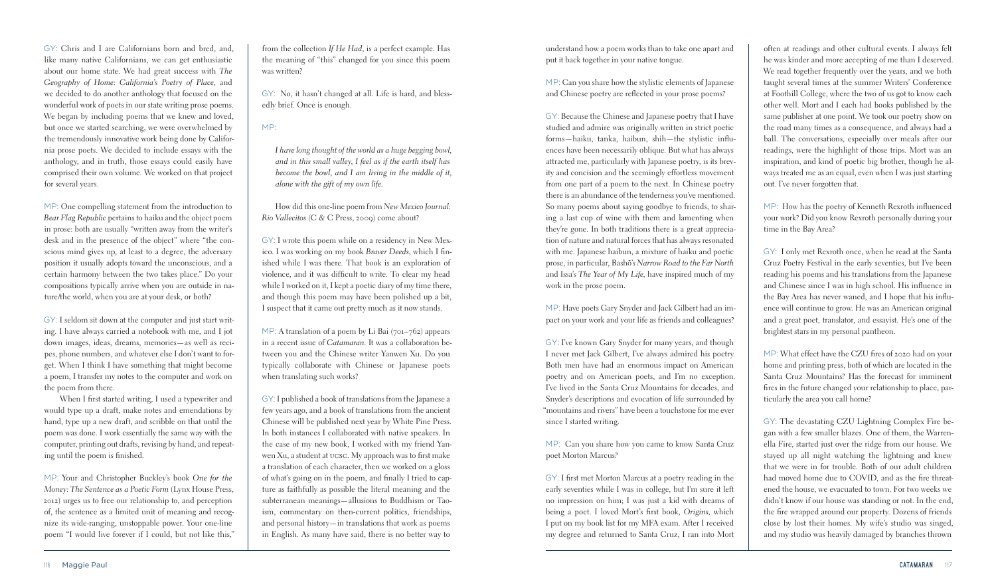understand how a poem works than to take one apart and put it back together in your native tongue.

MP: Can you share how the stylistic elements of Japanese and Chinese poetry are reflected in your prose poems?

GY: Because the Chinese and Japanese poetry that I have studied and admire was originally written in strict poetic forms—haiku, tanka, haibun, shih—the stylistic influences have been necessarily oblique. But what has always attracted me, particularly with Japanese poetry, is its brevity and concision and the seemingly effortless movement from one part of a poem to the next. In Chinese poetry there is an abundance of the tenderness you've mentioned. So many poems about saying goodbye to friends, to sharing a last cup of wine with them and lamenting when they're gone. In both traditions there is a great appreciation of nature and natural forces that has always resonated with me. Japanese haibun, a mixture of haiku and poetic prose, in particular, Bashō's Narrow Road to the Far North and Issa's *The Year of My Life*, have inspired much of my work in the prose poem.

MP: Have poets Gary Snyder and Jack Gilbert had an impact on your work and your life as friends and colleagues?

GY: I've known Gary Snyder for many years, and though I never met Jack Gilbert, I've always admired his poetry. Both men have had an enormous impact on American poetry and on American poets, and I'm no exception. I've lived in the Santa Cruz Mountains for decades, and Snyder's descriptions and evocation of life surrounded by "mountains and rivers" have been a touchstone for me ever since I started writing.

MP: Can you share how you came to know Santa Cruz poet Morton Marcus?

GY: I first met Morton Marcus at a poetry reading in the early seventies while I was in college, but I'm sure it left no impression on him; I was just a kid with dreams of being a poet. I loved Mort's first book, *Origins*, which I put on my book list for my MFA exam. After I received my degree and returned to Santa Cruz, I ran into Mort

often at readings and other cultural events. I always felt he was kinder and more accepting of me than I deserved. We read together frequently over the years, and we both taught several times at the summer Writers' Conference at Foothill College, where the two of us got to know each other well. Mort and I each had books published by the same publisher at one point. We took our poetry show on the road many times as a consequence, and always had a ball. The conversations, especially over meals after our readings, were the highlight of those trips. Mort was an inspiration, and kind of poetic big brother, though he always treated me as an equal, even when I was just starting out. I've never forgotten that.

MP: How has the poetry of Kenneth Rexroth influenced your work? Did you know Rexroth personally during your time in the Bay Area?

GY: I only met Rexroth once, when he read at the Santa Cruz Poetry Festival in the early seventies, but I've been reading his poems and his translations from the Japanese and Chinese since I was in high school. His influence in the Bay Area has never waned, and I hope that his influence will continue to grow. He was an American original and a great poet, translator, and essayist. He's one of the brightest stars in my personal pantheon.

MP: What effect have the CZU fires of 2020 had on your home and printing press, both of which are located in the Santa Cruz Mountains? Has the forecast for imminent fires in the future changed your relationship to place, particularly the area you call home?

MP: A translation of a poem by Li Bai (701–762) appears in a recent issue of *Catamaran*. It was a collaboration between you and the Chinese writer Yanwen Xu. Do you typically collaborate with Chinese or Japanese poets when translating such works?

> GY: The devastating CZU Lightning Complex Fire began with a few smaller blazes. One of them, the Warrenella Fire, started just over the ridge from our house. We stayed up all night watching the lightning and knew that we were in for trouble. Both of our adult children had moved home due to COVID, and as the fire threatened the house, we evacuated to town. For two weeks we didn't know if our house was standing or not. In the end, the fire wrapped around our property. Dozens of friends close by lost their homes. My wife's studio was singed, and my studio was heavily damaged by branches thrown

GY: Chris and I are Californians born and bred, and, like many native Californians, we can get enthusiastic about our home state. We had great success with *The Geography of Home: California's Poetry of Place*, and we decided to do another anthology that focused on the wonderful work of poets in our state writing prose poems. We began by including poems that we knew and loved, but once we started searching, we were overwhelmed by the tremendously innovative work being done by California prose poets. We decided to include essays with the anthology, and in truth, those essays could easily have comprised their own volume. We worked on that project for several years.

MP: One compelling statement from the introduction to *Bear Flag Republic* pertains to haiku and the object poem in prose: both are usually "written away from the writer's desk and in the presence of the object" where "the conscious mind gives up, at least to a degree, the adversary position it usually adopts toward the unconscious, and a certain harmony between the two takes place." Do your compositions typically arrive when you are outside in nature/the world, when you are at your desk, or both?

GY: I seldom sit down at the computer and just start writing. I have always carried a notebook with me, and I jot down images, ideas, dreams, memories—as well as recipes, phone numbers, and whatever else I don't want to forget. When I think I have something that might become a poem, I transfer my notes to the computer and work on the poem from there.

 When I first started writing, I used a typewriter and would type up a draft, make notes and emendations by hand, type up a new draft, and scribble on that until the poem was done. I work essentially the same way with the computer, printing out drafts, revising by hand, and repeating until the poem is finished.

MP: Your and Christopher Buckley's book *One for the Money: The Sentence as a Poetic Form* (Lynx House Press, 2012) urges us to free our relationship to, and perception of, the sentence as a limited unit of meaning and recognize its wide-ranging, unstoppable power. Your one-line poem "I would live forever if I could, but not like this,"

from the collection *If He Had*, is a perfect example. Has the meaning of "this" changed for you since this poem was written?

GY: No, it hasn't changed at all. Life is hard, and blessedly brief. Once is enough.

## MP:

*I have long thought of the world as a huge begging bowl, and in this small valley, I feel as if the earth itself has become the bowl, and I am living in the middle of it, alone with the gift of my own life.*

How did this one-line poem from *New Mexico Journal: Rio Vallecitos* (C & C Press, 2009) come about?

GY: I wrote this poem while on a residency in New Mexico. I was working on my book *Braver Deeds*, which I finished while I was there. That book is an exploration of violence, and it was difficult to write. To clear my head while I worked on it, I kept a poetic diary of my time there, and though this poem may have been polished up a bit, I suspect that it came out pretty much as it now stands.

GY: I published a book of translations from the Japanese a few years ago, and a book of translations from the ancient Chinese will be published next year by White Pine Press. In both instances I collaborated with native speakers. In the case of my new book, I worked with my friend Yanwen Xu, a student at ucsc. My approach was to first make a translation of each character, then we worked on a gloss of what's going on in the poem, and finally I tried to capture as faithfully as possible the literal meaning and the subterranean meanings—allusions to Buddhism or Taoism, commentary on then-current politics, friendships, and personal history—in translations that work as poems in English. As many have said, there is no better way to